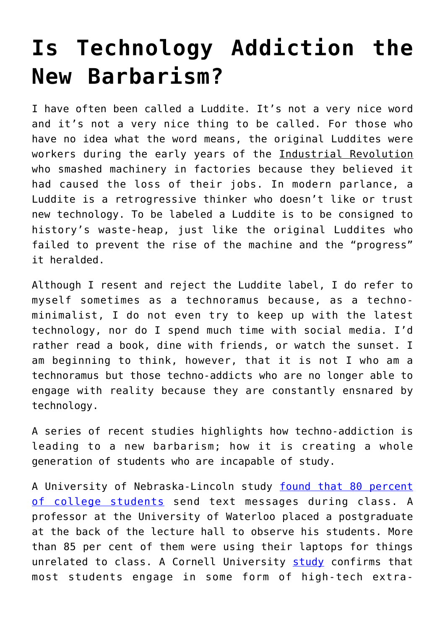## **[Is Technology Addiction the](https://intellectualtakeout.org/2016/09/is-technology-addiction-the-new-barbarism/) [New Barbarism?](https://intellectualtakeout.org/2016/09/is-technology-addiction-the-new-barbarism/)**

I have often been called a Luddite. It's not a very nice word and it's not a very nice thing to be called. For those who have no idea what the word means, the original Luddites were workers during the early years of the Industrial Revolution who smashed machinery in factories because they believed it had caused the loss of their jobs. In modern parlance, a Luddite is a retrogressive thinker who doesn't like or trust new technology. To be labeled a Luddite is to be consigned to history's waste-heap, just like the original Luddites who failed to prevent the rise of the machine and the "progress" it heralded.

Although I resent and reject the Luddite label, I do refer to myself sometimes as a technoramus because, as a technominimalist, I do not even try to keep up with the latest technology, nor do I spend much time with social media. I'd rather read a book, dine with friends, or watch the sunset. I am beginning to think, however, that it is not I who am a technoramus but those techno-addicts who are no longer able to engage with reality because they are constantly ensnared by technology.

A series of recent studies highlights how techno-addiction is leading to a new barbarism; how it is creating a whole generation of students who are incapable of study.

A University of Nebraska-Lincoln study [found that 80 percent](http://en.calameo.com/read/000091789af53ca4e647f) [of college students](http://en.calameo.com/read/000091789af53ca4e647f) send text messages during class. A professor at the University of Waterloo placed a postgraduate at the back of the lecture hall to observe his students. More than 85 per cent of them were using their laptops for things unrelated to class. A Cornell University [study](https://web.stanford.edu/dept/CTL/ClassroomLaptops/wikiupload/1/17/Multitasking_Hembrooke.pdf) confirms that most students engage in some form of high-tech extra